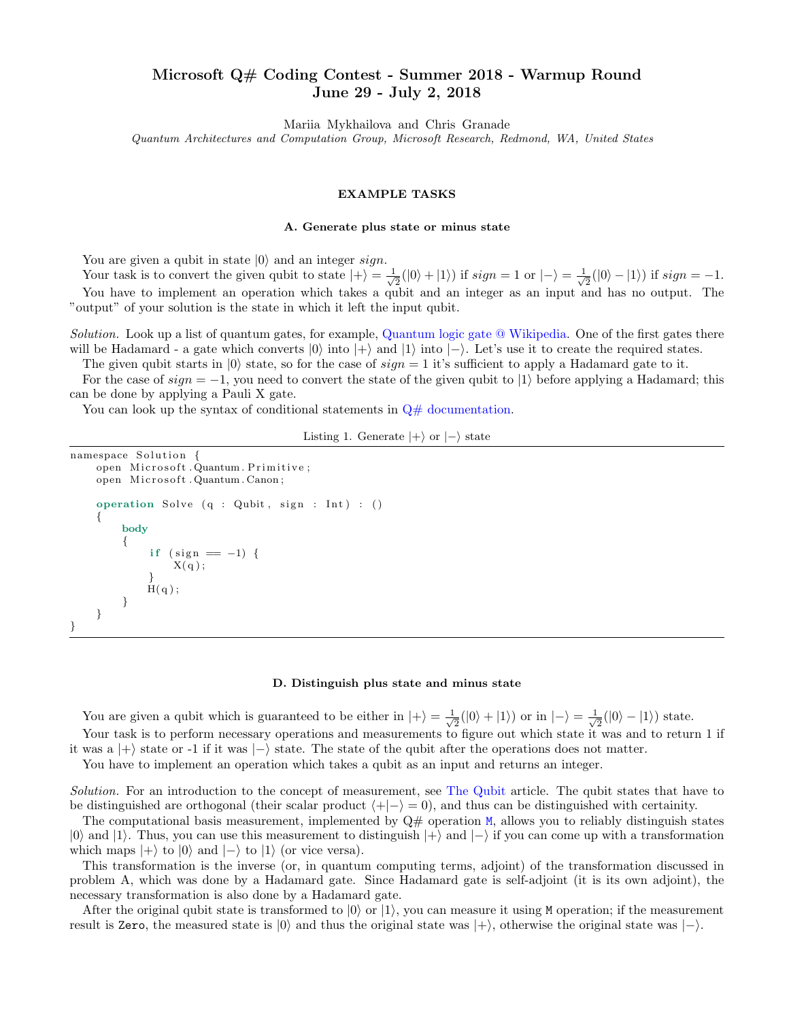# Microsoft Q# Coding Contest - Summer 2018 - Warmup Round June 29 - July 2, 2018

Mariia Mykhailova and Chris Granade

Quantum Architectures and Computation Group, Microsoft Research, Redmond, WA, United States

## EXAMPLE TASKS

### A. Generate plus state or minus state

You are given a qubit in state  $|0\rangle$  and an integer sign.

Your task is to convert the given qubit to state  $|+\rangle = \frac{1}{\sqrt{2}}$  $\frac{1}{2}(|0\rangle + |1\rangle)$  if  $sign = 1$  or  $|-\rangle = \frac{1}{\sqrt{2}}$  $\frac{1}{2}(|0\rangle - |1\rangle)$  if  $sign = -1$ . You have to implement an operation which takes a qubit and an integer as an input and has no output. The "output" of your solution is the state in which it left the input qubit.

Solution. Look up a list of quantum gates, for example, [Quantum logic gate @ Wikipedia.](https://en.wikipedia.org/wiki/Quantum_logic_gate) One of the first gates there will be Hadamard - a gate which converts  $|0\rangle$  into  $|+\rangle$  and  $|1\rangle$  into  $|-\rangle$ . Let's use it to create the required states.

The given qubit starts in  $|0\rangle$  state, so for the case of  $sign = 1$  it's sufficient to apply a Hadamard gate to it.

For the case of  $sign = -1$ , you need to convert the state of the given qubit to  $|1\rangle$  before applying a Hadamard; this can be done by applying a Pauli X gate.

You can look up the syntax of conditional statements in  $Q#$  documentation.

| Listing 1. Generate $ +\rangle$ or $ -\rangle$ state |  |  |  |
|------------------------------------------------------|--|--|--|
|------------------------------------------------------|--|--|--|

```
namespace Solution {
    open Microsoft. Quantum. Primitive;
    open Microsoft. Quantum. Canon;
    operation Solve (q : Qubit, sign : Int) : (){
        body
        {
             if (sign == -1) {
                 X(q) ;
             }
            H(q);}
    }
}
```
#### D. Distinguish plus state and minus state

You are given a qubit which is guaranteed to be either in  $|+\rangle = \frac{1}{\sqrt{2}}$  $\frac{1}{2}(|0\rangle + |1\rangle)$  or in  $|-\rangle = \frac{1}{\sqrt{2}}$  $\frac{1}{2}(|0\rangle - |1\rangle)$  state. Your task is to perform necessary operations and measurements to figure out which state it was and to return 1 if it was a  $|+\rangle$  state or -1 if it was  $|-\rangle$  state. The state of the qubit after the operations does not matter.

You have to implement an operation which takes a qubit as an input and returns an integer.

Solution. For an introduction to the concept of measurement, see [The Qubit](https://docs.microsoft.com/en-us/quantum/quantum-concepts-4-qubit) article. The qubit states that have to be distinguished are orthogonal (their scalar product  $\langle +|-\rangle = 0$ ), and thus can be distinguished with certainity.

The computational basis measurement, implemented by  $Q#$  operation [M](https://docs.microsoft.com/en-us/qsharp/api/prelude/microsoft.quantum.primitive.m), allows you to reliably distinguish states  $|0\rangle$  and  $|1\rangle$ . Thus, you can use this measurement to distinguish  $|+\rangle$  and  $|-\rangle$  if you can come up with a transformation which maps  $|+\rangle$  to  $|0\rangle$  and  $|-\rangle$  to  $|1\rangle$  (or vice versa).

This transformation is the inverse (or, in quantum computing terms, adjoint) of the transformation discussed in problem A, which was done by a Hadamard gate. Since Hadamard gate is self-adjoint (it is its own adjoint), the necessary transformation is also done by a Hadamard gate.

After the original qubit state is transformed to  $|0\rangle$  or  $|1\rangle$ , you can measure it using M operation; if the measurement result is Zero, the measured state is  $|0\rangle$  and thus the original state was  $|+\rangle$ , otherwise the original state was  $|-\rangle$ .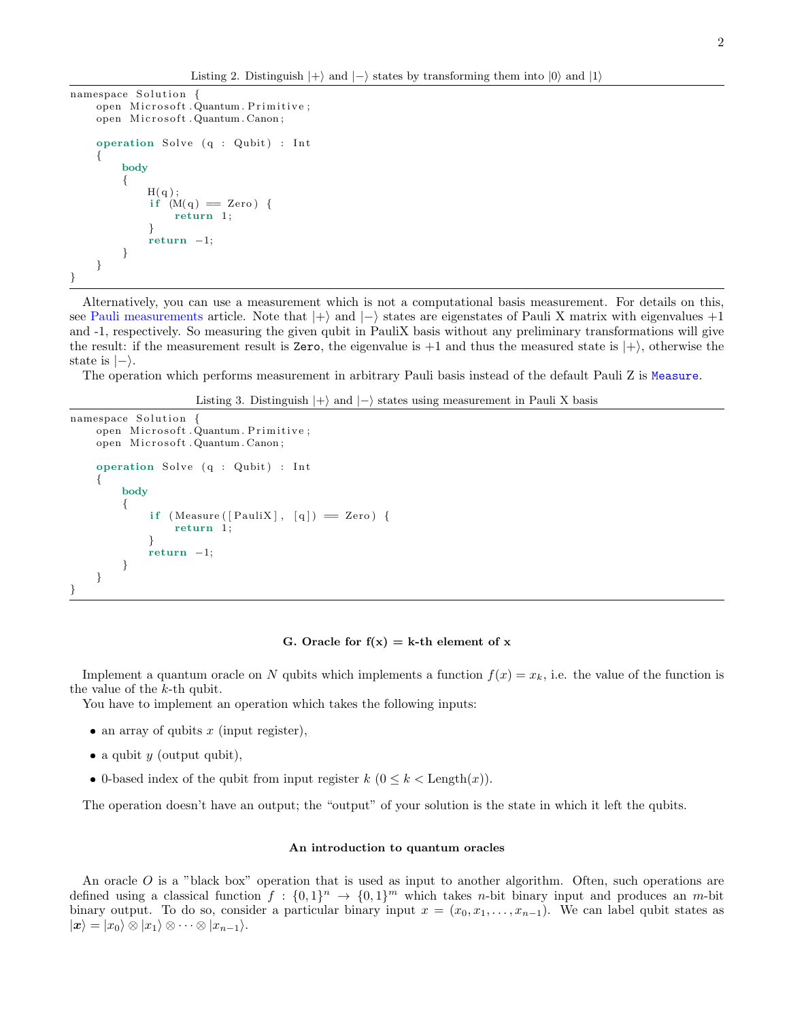```
namespace Solution
    open Microsoft. Quantum. Primitive;
    open Microsoft. Quantum. Canon;
    operation Solve (q : Qubit): Int
    {
        body
        {
            H(q);if (M(q) == Zero) {
                 return 1;
             }
             return -1;}
    }
}
```
Alternatively, you can use a measurement which is not a computational basis measurement. For details on this, see [Pauli measurements](https://docs.microsoft.com/en-us/quantum/quantum-concepts-7-paulimeasurements) article. Note that  $|+\rangle$  and  $|-\rangle$  states are eigenstates of Pauli X matrix with eigenvalues +1 and -1, respectively. So measuring the given qubit in PauliX basis without any preliminary transformations will give the result: if the measurement result is Zero, the eigenvalue is  $+1$  and thus the measured state is  $|+\rangle$ , otherwise the state is  $|-\rangle$ .

The operation which performs measurement in arbitrary Pauli basis instead of the default Pauli Z is [Measure](https://docs.microsoft.com/en-us/qsharp/api/prelude/microsoft.quantum.primitive.measure).

Listing 3. Distinguish  $\ket{+}$  and  $\ket{-}$  states using measurement in Pauli X basis

```
namespace Solution
    open Microsoft. Quantum. Primitive;
    open Microsoft. Quantum. Canon;
    operation Solve (q : Qubit) : Int
    {
        body
        {
             if (Measure ([PauliX], [q]) = Zero) {
                 return 1;
             }
             return −1;
        }
    }
}
```
### G. Oracle for  $f(x) = k-th$  element of x

Implement a quantum oracle on N qubits which implements a function  $f(x) = x_k$ , i.e. the value of the function is the value of the k-th qubit.

You have to implement an operation which takes the following inputs:

- an array of qubits  $x$  (input register),
- a qubit  $y$  (output qubit),
- 0-based index of the qubit from input register  $k$  ( $0 \le k <$  Length $(x)$ ).

The operation doesn't have an output; the "output" of your solution is the state in which it left the qubits.

#### An introduction to quantum oracles

An oracle  $O$  is a "black box" operation that is used as input to another algorithm. Often, such operations are defined using a classical function  $f : \{0,1\}^n \to \{0,1\}^m$  which takes *n*-bit binary input and produces an *m*-bit binary output. To do so, consider a particular binary input  $x = (x_0, x_1, \ldots, x_{n-1})$ . We can label qubit states as  $|x\rangle = |x_0\rangle \otimes |x_1\rangle \otimes \cdots \otimes |x_{n-1}\rangle.$